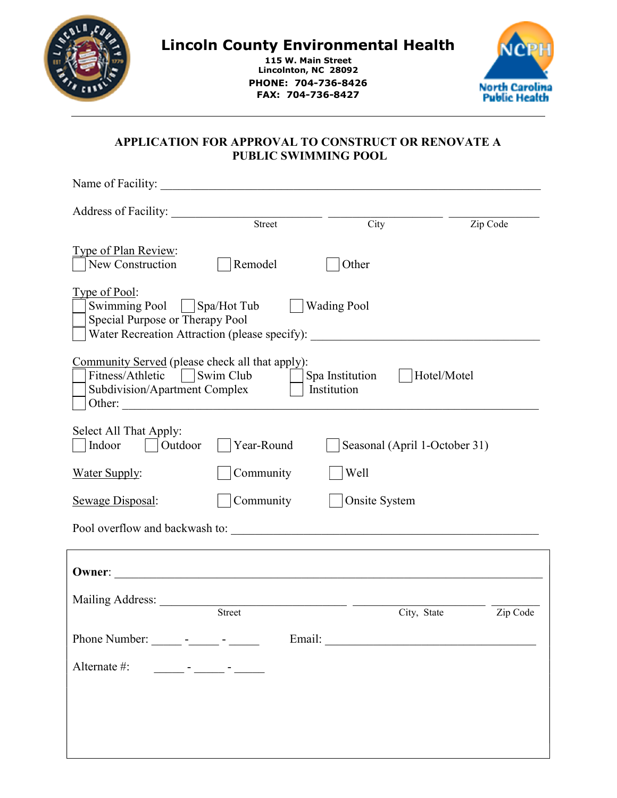

# Lincoln County Environmental Health

115 W. Main Street Lincolnton, NC 28092 PHONE: 704-736-8426 FAX: 704-736-8427



## APPLICATION FOR APPROVAL TO CONSTRUCT OR RENOVATE A PUBLIC SWIMMING POOL

| Name of Facility:                                                                                                                                                                         |            |                               |                         |  |  |  |
|-------------------------------------------------------------------------------------------------------------------------------------------------------------------------------------------|------------|-------------------------------|-------------------------|--|--|--|
| Address of Facility:                                                                                                                                                                      | Street     | City                          | Zip Code                |  |  |  |
| <u>Type of Plan Review:</u><br>New Construction                                                                                                                                           | Remodel    | Other                         |                         |  |  |  |
| Type of Pool:<br>Swimming Pool   Spa/Hot Tub<br><b>Wading Pool</b><br>Special Purpose or Therapy Pool<br>Water Recreation Attraction (please specify): __________________________________ |            |                               |                         |  |  |  |
| Community Served (please check all that apply):<br>Fitness/Athletic     Swim Club<br>Hotel/Motel<br>Spa Institution<br>Institution<br>Subdivision/Apartment Complex<br>Other:             |            |                               |                         |  |  |  |
| Select All That Apply:<br>Outdoor<br>Indoor                                                                                                                                               | Year-Round | Seasonal (April 1-October 31) |                         |  |  |  |
| <b>Water Supply:</b>                                                                                                                                                                      | Community  | Well                          |                         |  |  |  |
| Sewage Disposal:                                                                                                                                                                          | Community  | Onsite System                 |                         |  |  |  |
|                                                                                                                                                                                           |            |                               |                         |  |  |  |
| Owner:                                                                                                                                                                                    |            |                               |                         |  |  |  |
| Mailing Address: Street                                                                                                                                                                   |            |                               | City, State<br>Zip Code |  |  |  |
| Phone Number: _______ - ______ - ______                                                                                                                                                   |            |                               |                         |  |  |  |
| Alternate #:<br><u> 1980 - Jan James James Barnett, politik eta politik eta politik eta politik eta politik eta politik eta poli</u>                                                      |            |                               |                         |  |  |  |
|                                                                                                                                                                                           |            |                               |                         |  |  |  |
|                                                                                                                                                                                           |            |                               |                         |  |  |  |
|                                                                                                                                                                                           |            |                               |                         |  |  |  |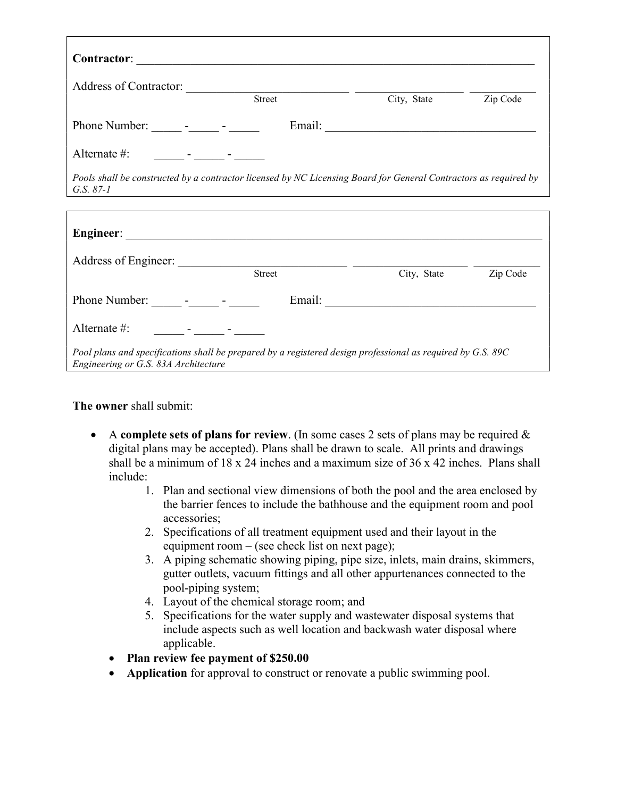| Address of Contractor: <u>Street Street Street Street Street</u>                                                                                                                                                               |        | City, State Zip Code |  |  |  |
|--------------------------------------------------------------------------------------------------------------------------------------------------------------------------------------------------------------------------------|--------|----------------------|--|--|--|
| Phone Number: ______ - _____ - ______                                                                                                                                                                                          |        |                      |  |  |  |
| Alternate #: $\qquad \qquad  \qquad  \qquad -$                                                                                                                                                                                 |        |                      |  |  |  |
| Pools shall be constructed by a contractor licensed by NC Licensing Board for General Contractors as required by<br>G.S. $87-1$                                                                                                |        |                      |  |  |  |
|                                                                                                                                                                                                                                |        |                      |  |  |  |
|                                                                                                                                                                                                                                |        |                      |  |  |  |
|                                                                                                                                                                                                                                | Street | City, State Zip Code |  |  |  |
| Phone Number: _______ - ______ - ______                                                                                                                                                                                        |        |                      |  |  |  |
| Alternate #: The Contract of the Contract of the Contract of the Contract of the Contract of the Contract of the Contract of the Contract of the Contract of the Contract of the Contract of the Contract of the Contract of t |        |                      |  |  |  |
| Pool plans and specifications shall be prepared by a registered design professional as required by G.S. 89C<br>Engineering or G.S. 83A Architecture                                                                            |        |                      |  |  |  |

The owner shall submit:

- A complete sets of plans for review. (In some cases 2 sets of plans may be required  $\&$ digital plans may be accepted). Plans shall be drawn to scale. All prints and drawings shall be a minimum of  $18 \times 24$  inches and a maximum size of  $36 \times 42$  inches. Plans shall include:
	- 1. Plan and sectional view dimensions of both the pool and the area enclosed by the barrier fences to include the bathhouse and the equipment room and pool accessories;
	- 2. Specifications of all treatment equipment used and their layout in the equipment room – (see check list on next page);
	- 3. A piping schematic showing piping, pipe size, inlets, main drains, skimmers, gutter outlets, vacuum fittings and all other appurtenances connected to the pool-piping system;
	- 4. Layout of the chemical storage room; and
	- 5. Specifications for the water supply and wastewater disposal systems that include aspects such as well location and backwash water disposal where applicable.
	- Plan review fee payment of \$250.00
	- Application for approval to construct or renovate a public swimming pool.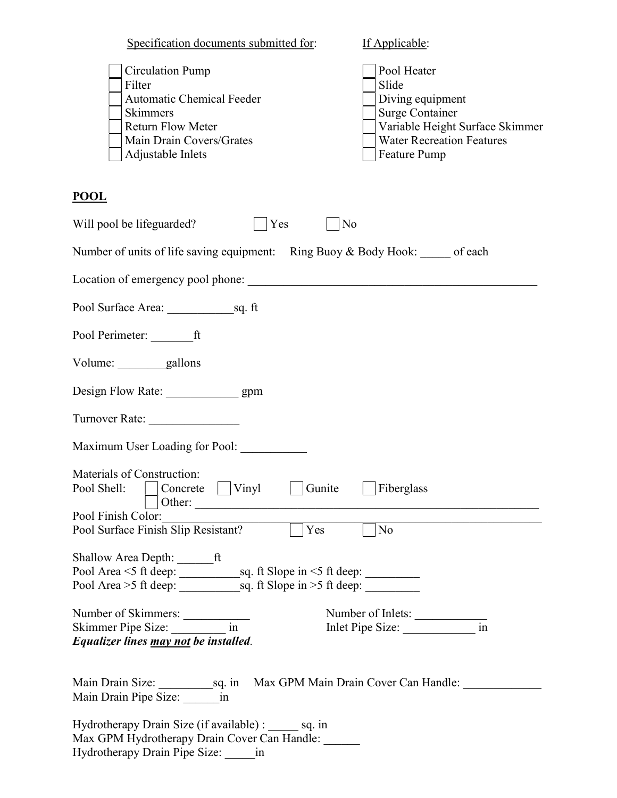| Specification documents submitted for:                                                                                                                         | If Applicable:                                                                                                                                                   |
|----------------------------------------------------------------------------------------------------------------------------------------------------------------|------------------------------------------------------------------------------------------------------------------------------------------------------------------|
| <b>Circulation Pump</b><br>Filter<br><b>Automatic Chemical Feeder</b><br>Skimmers<br><b>Return Flow Meter</b><br>Main Drain Covers/Grates<br>Adjustable Inlets | Pool Heater<br>Slide<br>Diving equipment<br><b>Surge Container</b><br>Variable Height Surface Skimmer<br><b>Water Recreation Features</b><br><b>Feature Pump</b> |
| <u>POOL</u>                                                                                                                                                    |                                                                                                                                                                  |
| Will pool be lifeguarded?<br>Yes                                                                                                                               | N <sub>o</sub>                                                                                                                                                   |
| Number of units of life saving equipment: Ring Buoy & Body Hook: of each                                                                                       |                                                                                                                                                                  |
|                                                                                                                                                                |                                                                                                                                                                  |
|                                                                                                                                                                |                                                                                                                                                                  |
|                                                                                                                                                                |                                                                                                                                                                  |
| Volume: gallons                                                                                                                                                |                                                                                                                                                                  |
| Design Flow Rate: __________________ gpm                                                                                                                       |                                                                                                                                                                  |
| Turnover Rate:                                                                                                                                                 |                                                                                                                                                                  |
|                                                                                                                                                                |                                                                                                                                                                  |
| Materials of Construction:<br>Concrete $\Box$ Vinyl<br>Gunite<br>Pool Shell:<br>Other:<br>Pool Finish Color:<br>$\overline{Y}$ Yes                             | Fiberglass<br>$\Box$ No                                                                                                                                          |
| Pool Surface Finish Slip Resistant?                                                                                                                            |                                                                                                                                                                  |
| Shallow Area Depth: _________ ft                                                                                                                               |                                                                                                                                                                  |
| Number of Skimmers:<br>Skimmer Pipe Size: ________________ in<br>Equalizer lines may not be installed.                                                         | Number of Inlets:<br>$\frac{1}{\sin \theta}$<br>Inlet Pipe Size:                                                                                                 |
| Main Drain Size: sq. in Max GPM Main Drain Cover Can Handle: ____________________<br>Main Drain Pipe Size: in                                                  |                                                                                                                                                                  |
| Hydrotherapy Drain Size (if available) : ______ sq. in<br>Max GPM Hydrotherapy Drain Cover Can Handle:<br>Hydrotherapy Drain Pipe Size: _______ in             |                                                                                                                                                                  |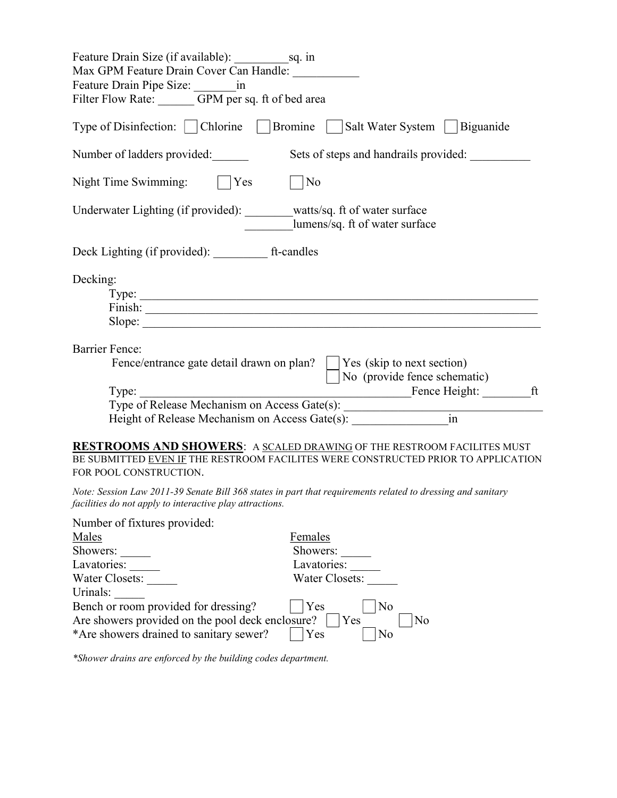| Feature Drain Size (if available): sq. in<br>Max GPM Feature Drain Cover Can Handle:<br>Feature Drain Pipe Size: _______________ in<br>Filter Flow Rate: GPM per sq. ft of bed area                                                                                                                         |
|-------------------------------------------------------------------------------------------------------------------------------------------------------------------------------------------------------------------------------------------------------------------------------------------------------------|
| Type of Disinfection:   Chlorine   Bromine  <br>Salt Water System   Biguanide                                                                                                                                                                                                                               |
| Number of ladders provided:<br>Sets of steps and handrails provided:                                                                                                                                                                                                                                        |
| Night Time Swimming:<br>Yes<br>No                                                                                                                                                                                                                                                                           |
| Underwater Lighting (if provided): watts/sq. ft of water surface<br>lumens/sq. ft of water surface                                                                                                                                                                                                          |
| Deck Lighting (if provided): ______________ ft-candles                                                                                                                                                                                                                                                      |
| Decking:<br>Slope:                                                                                                                                                                                                                                                                                          |
| <b>Barrier Fence:</b><br>Fence/entrance gate detail drawn on plan?<br>Yes (skip to next section)<br>No (provide fence schematic)                                                                                                                                                                            |
| Fence Height: ft<br>Type:<br>Type: Type of Release Mechanism on Access Gate(s): 1992<br>Height of Release Mechanism on Access Gate(s):                                                                                                                                                                      |
| <b>RESTROOMS AND SHOWERS: A SCALED DRAWING OF THE RESTROOM FACILITES MUST</b><br>BE SUBMITTED EVEN IF THE RESTROOM FACILITES WERE CONSTRUCTED PRIOR TO APPLICATION<br>FOR POOL CONSTRUCTION.<br>Note: Session Law 2011-39 Senate Bill 368 states in part that requirements related to dressing and sanitary |
| facilities do not apply to interactive play attractions.                                                                                                                                                                                                                                                    |
| Number of fixtures provided:<br>Females<br>Males<br>Showers:<br>Showers:<br>Lavatories:<br>Lavatories:<br>Water Closets:<br>Water Closets:<br>Urinals:                                                                                                                                                      |
| Bench or room provided for dressing?<br>Yes<br>No<br>Are showers provided on the pool deck enclosure?<br>Yes<br>No<br>*Are showers drained to sanitary sewer?<br>N <sub>o</sub><br>Yes                                                                                                                      |

\*Shower drains are enforced by the building codes department.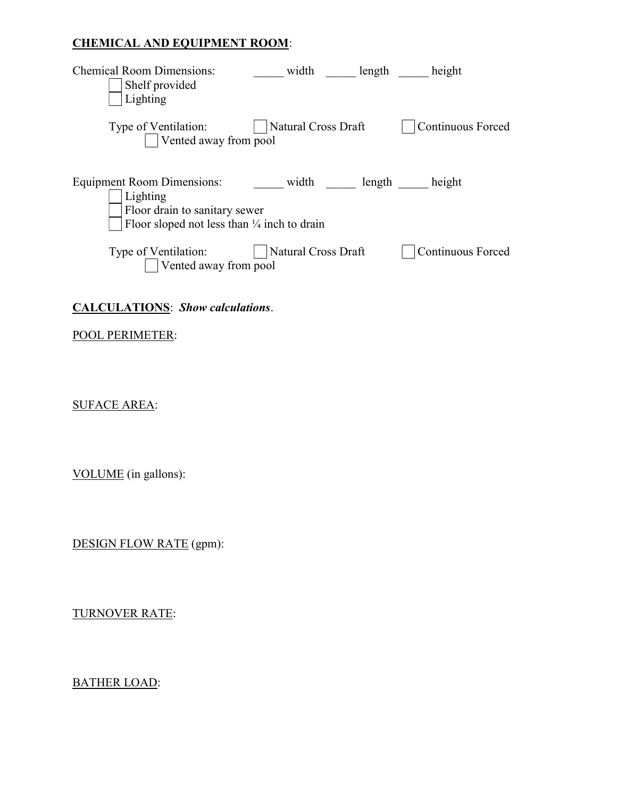#### CHEMICAL AND EQUIPMENT ROOM:

| <b>Chemical Room Dimensions:</b><br>Shelf provided<br>Lighting          | width               | length | height                   |
|-------------------------------------------------------------------------|---------------------|--------|--------------------------|
| Type of Ventilation:<br>Vented away from pool                           | Natural Cross Draft |        | <b>Continuous Forced</b> |
| Equipment Room Dimensions:<br>Lighting<br>Floor drain to sanitary sewer | width               | length | height                   |
| Floor sloped not less than $\frac{1}{4}$ inch to drain                  |                     |        |                          |
| Type of Ventilation:<br>Vented away from pool                           | Natural Cross Draft |        | <b>Continuous Forced</b> |

## CALCULATIONS: Show calculations.

## POOL PERIMETER:

SUFACE AREA:

VOLUME (in gallons):

DESIGN FLOW RATE (gpm):

TURNOVER RATE:

BATHER LOAD: